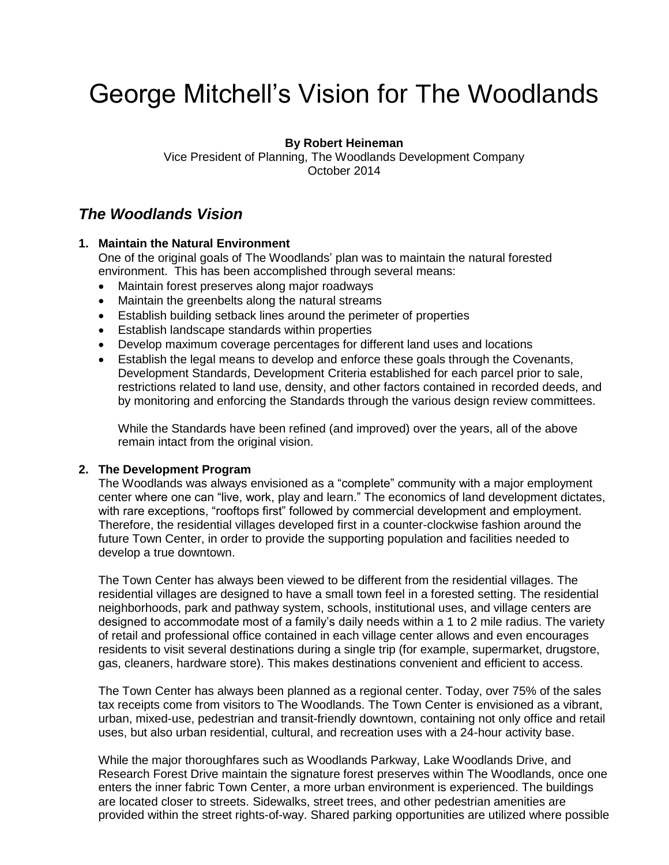# George Mitchell's Vision for The Woodlands

#### **By Robert Heineman**

Vice President of Planning, The Woodlands Development Company October 2014

### *The Woodlands Vision*

#### **1. Maintain the Natural Environment**

One of the original goals of The Woodlands' plan was to maintain the natural forested environment. This has been accomplished through several means:

- Maintain forest preserves along major roadways
- Maintain the greenbelts along the natural streams
- Establish building setback lines around the perimeter of properties
- Establish landscape standards within properties
- Develop maximum coverage percentages for different land uses and locations
- Establish the legal means to develop and enforce these goals through the Covenants, Development Standards, Development Criteria established for each parcel prior to sale, restrictions related to land use, density, and other factors contained in recorded deeds, and by monitoring and enforcing the Standards through the various design review committees.

While the Standards have been refined (and improved) over the years, all of the above remain intact from the original vision.

#### **2. The Development Program**

The Woodlands was always envisioned as a "complete" community with a major employment center where one can "live, work, play and learn." The economics of land development dictates, with rare exceptions, "rooftops first" followed by commercial development and employment. Therefore, the residential villages developed first in a counter-clockwise fashion around the future Town Center, in order to provide the supporting population and facilities needed to develop a true downtown.

The Town Center has always been viewed to be different from the residential villages. The residential villages are designed to have a small town feel in a forested setting. The residential neighborhoods, park and pathway system, schools, institutional uses, and village centers are designed to accommodate most of a family's daily needs within a 1 to 2 mile radius. The variety of retail and professional office contained in each village center allows and even encourages residents to visit several destinations during a single trip (for example, supermarket, drugstore, gas, cleaners, hardware store). This makes destinations convenient and efficient to access.

The Town Center has always been planned as a regional center. Today, over 75% of the sales tax receipts come from visitors to The Woodlands. The Town Center is envisioned as a vibrant, urban, mixed-use, pedestrian and transit-friendly downtown, containing not only office and retail uses, but also urban residential, cultural, and recreation uses with a 24-hour activity base.

While the major thoroughfares such as Woodlands Parkway, Lake Woodlands Drive, and Research Forest Drive maintain the signature forest preserves within The Woodlands, once one enters the inner fabric Town Center, a more urban environment is experienced. The buildings are located closer to streets. Sidewalks, street trees, and other pedestrian amenities are provided within the street rights-of-way. Shared parking opportunities are utilized where possible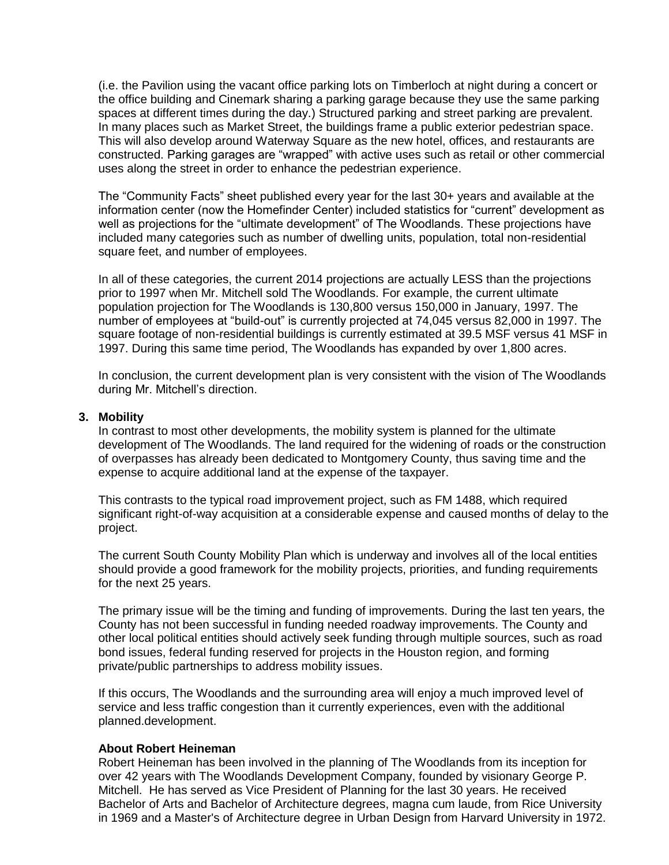(i.e. the Pavilion using the vacant office parking lots on Timberloch at night during a concert or the office building and Cinemark sharing a parking garage because they use the same parking spaces at different times during the day.) Structured parking and street parking are prevalent. In many places such as Market Street, the buildings frame a public exterior pedestrian space. This will also develop around Waterway Square as the new hotel, offices, and restaurants are constructed. Parking garages are "wrapped" with active uses such as retail or other commercial uses along the street in order to enhance the pedestrian experience.

The "Community Facts" sheet published every year for the last 30+ years and available at the information center (now the Homefinder Center) included statistics for "current" development as well as projections for the "ultimate development" of The Woodlands. These projections have included many categories such as number of dwelling units, population, total non-residential square feet, and number of employees.

In all of these categories, the current 2014 projections are actually LESS than the projections prior to 1997 when Mr. Mitchell sold The Woodlands. For example, the current ultimate population projection for The Woodlands is 130,800 versus 150,000 in January, 1997. The number of employees at "build-out" is currently projected at 74,045 versus 82,000 in 1997. The square footage of non-residential buildings is currently estimated at 39.5 MSF versus 41 MSF in 1997. During this same time period, The Woodlands has expanded by over 1,800 acres.

In conclusion, the current development plan is very consistent with the vision of The Woodlands during Mr. Mitchell's direction.

#### **3. Mobility**

In contrast to most other developments, the mobility system is planned for the ultimate development of The Woodlands. The land required for the widening of roads or the construction of overpasses has already been dedicated to Montgomery County, thus saving time and the expense to acquire additional land at the expense of the taxpayer.

This contrasts to the typical road improvement project, such as FM 1488, which required significant right-of-way acquisition at a considerable expense and caused months of delay to the project.

The current South County Mobility Plan which is underway and involves all of the local entities should provide a good framework for the mobility projects, priorities, and funding requirements for the next 25 years.

The primary issue will be the timing and funding of improvements. During the last ten years, the County has not been successful in funding needed roadway improvements. The County and other local political entities should actively seek funding through multiple sources, such as road bond issues, federal funding reserved for projects in the Houston region, and forming private/public partnerships to address mobility issues.

If this occurs, The Woodlands and the surrounding area will enjoy a much improved level of service and less traffic congestion than it currently experiences, even with the additional planned.development.

#### **About Robert Heineman**

Robert Heineman has been involved in the planning of The Woodlands from its inception for over 42 years with The Woodlands Development Company, founded by visionary George P. Mitchell. He has served as Vice President of Planning for the last 30 years. He received Bachelor of Arts and Bachelor of Architecture degrees, magna cum laude, from Rice University in 1969 and a Master's of Architecture degree in Urban Design from Harvard University in 1972.